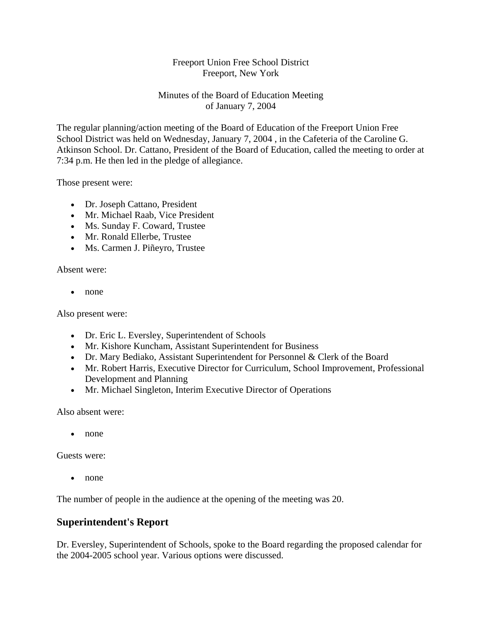## Freeport Union Free School District Freeport, New York

# Minutes of the Board of Education Meeting of January 7, 2004

The regular planning/action meeting of the Board of Education of the Freeport Union Free School District was held on Wednesday, January 7, 2004 , in the Cafeteria of the Caroline G. Atkinson School. Dr. Cattano, President of the Board of Education, called the meeting to order at 7:34 p.m. He then led in the pledge of allegiance.

Those present were:

- Dr. Joseph Cattano, President
- Mr. Michael Raab, Vice President
- Ms. Sunday F. Coward, Trustee
- Mr. Ronald Ellerbe, Trustee
- Ms. Carmen J. Piñeyro, Trustee

Absent were:

• none

Also present were:

- Dr. Eric L. Eversley, Superintendent of Schools
- Mr. Kishore Kuncham, Assistant Superintendent for Business
- Dr. Mary Bediako, Assistant Superintendent for Personnel & Clerk of the Board
- Mr. Robert Harris, Executive Director for Curriculum, School Improvement, Professional Development and Planning
- Mr. Michael Singleton, Interim Executive Director of Operations

Also absent were:

• none

Guests were:

• none

The number of people in the audience at the opening of the meeting was 20.

# **Superintendent's Report**

Dr. Eversley, Superintendent of Schools, spoke to the Board regarding the proposed calendar for the 2004-2005 school year. Various options were discussed.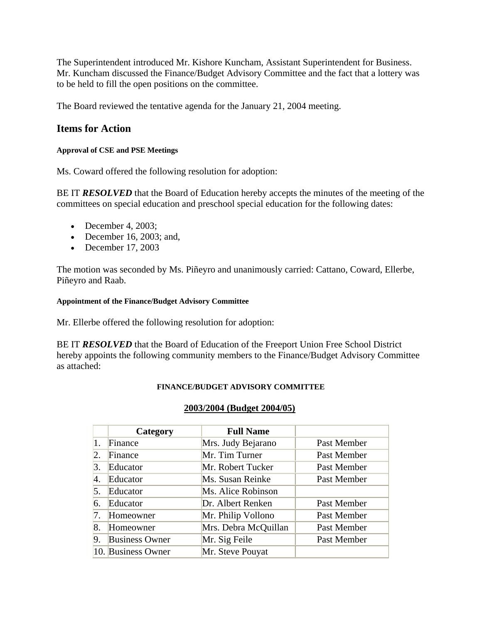The Superintendent introduced Mr. Kishore Kuncham, Assistant Superintendent for Business. Mr. Kuncham discussed the Finance/Budget Advisory Committee and the fact that a lottery was to be held to fill the open positions on the committee.

The Board reviewed the tentative agenda for the January 21, 2004 meeting.

# **Items for Action**

#### **Approval of CSE and PSE Meetings**

Ms. Coward offered the following resolution for adoption:

BE IT **RESOLVED** that the Board of Education hereby accepts the minutes of the meeting of the committees on special education and preschool special education for the following dates:

- December 4, 2003;
- December 16, 2003; and,
- December 17, 2003

The motion was seconded by Ms. Piñeyro and unanimously carried: Cattano, Coward, Ellerbe, Piñeyro and Raab.

#### **Appointment of the Finance/Budget Advisory Committee**

Mr. Ellerbe offered the following resolution for adoption:

BE IT **RESOLVED** that the Board of Education of the Freeport Union Free School District hereby appoints the following community members to the Finance/Budget Advisory Committee as attached:

### **FINANCE/BUDGET ADVISORY COMMITTEE**

### **2003/2004 (Budget 2004/05)**

|    | Category              | <b>Full Name</b>     |             |
|----|-----------------------|----------------------|-------------|
| 1. | Finance               | Mrs. Judy Bejarano   | Past Member |
| 2. | Finance               | Mr. Tim Turner       | Past Member |
| 3. | Educator              | Mr. Robert Tucker    | Past Member |
| 4. | Educator              | Ms. Susan Reinke     | Past Member |
| 5. | Educator              | Ms. Alice Robinson   |             |
| 6. | Educator              | Dr. Albert Renken    | Past Member |
| 7. | Homeowner             | Mr. Philip Vollono   | Past Member |
| 8. | Homeowner             | Mrs. Debra McQuillan | Past Member |
| 9. | <b>Business Owner</b> | Mr. Sig Feile        | Past Member |
|    | 10. Business Owner    | Mr. Steve Pouyat     |             |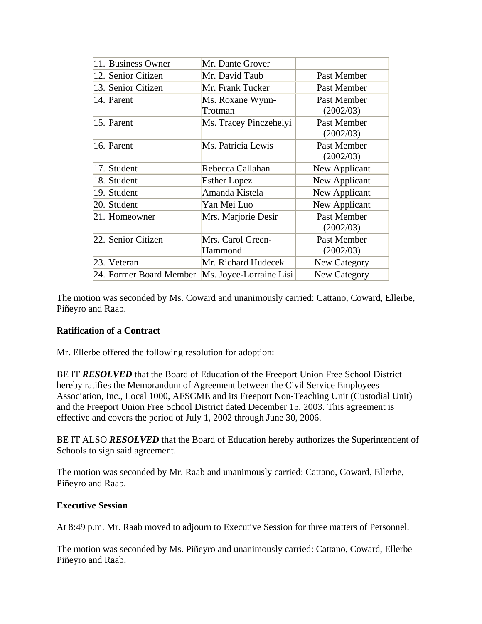|      | 11. Business Owner      | Mr. Dante Grover        |               |
|------|-------------------------|-------------------------|---------------|
|      | 12. Senior Citizen      | Mr. David Taub          | Past Member   |
|      | 13. Senior Citizen      | Mr. Frank Tucker        | Past Member   |
|      | 14. Parent              | Ms. Roxane Wynn-        | Past Member   |
|      |                         | Trotman                 | (2002/03)     |
|      | 15. Parent              | Ms. Tracey Pinczehelyi  | Past Member   |
|      |                         |                         | (2002/03)     |
|      | 16. Parent              | Ms. Patricia Lewis      | Past Member   |
|      |                         |                         | (2002/03)     |
|      | 17. Student             | Rebecca Callahan        | New Applicant |
|      | 18. Student             | <b>Esther Lopez</b>     | New Applicant |
|      | 19. Student             | Amanda Kistela          | New Applicant |
|      | 20. Student             | Yan Mei Luo             | New Applicant |
|      | 21. Homeowner           | Mrs. Marjorie Desir     | Past Member   |
|      |                         |                         | (2002/03)     |
|      | 22. Senior Citizen      | Mrs. Carol Green-       | Past Member   |
|      |                         | Hammond                 | (2002/03)     |
| 23.1 | Veteran                 | Mr. Richard Hudecek     | New Category  |
|      | 24. Former Board Member | Ms. Joyce-Lorraine Lisi | New Category  |

The motion was seconded by Ms. Coward and unanimously carried: Cattano, Coward, Ellerbe, Piñeyro and Raab.

# **Ratification of a Contract**

Mr. Ellerbe offered the following resolution for adoption:

BE IT **RESOLVED** that the Board of Education of the Freeport Union Free School District hereby ratifies the Memorandum of Agreement between the Civil Service Employees Association, Inc., Local 1000, AFSCME and its Freeport Non-Teaching Unit (Custodial Unit) and the Freeport Union Free School District dated December 15, 2003. This agreement is effective and covers the period of July 1, 2002 through June 30, 2006.

BE IT ALSO **RESOLVED** that the Board of Education hereby authorizes the Superintendent of Schools to sign said agreement.

The motion was seconded by Mr. Raab and unanimously carried: Cattano, Coward, Ellerbe, Piñeyro and Raab.

### **Executive Session**

At 8:49 p.m. Mr. Raab moved to adjourn to Executive Session for three matters of Personnel.

The motion was seconded by Ms. Piñeyro and unanimously carried: Cattano, Coward, Ellerbe Piñeyro and Raab.